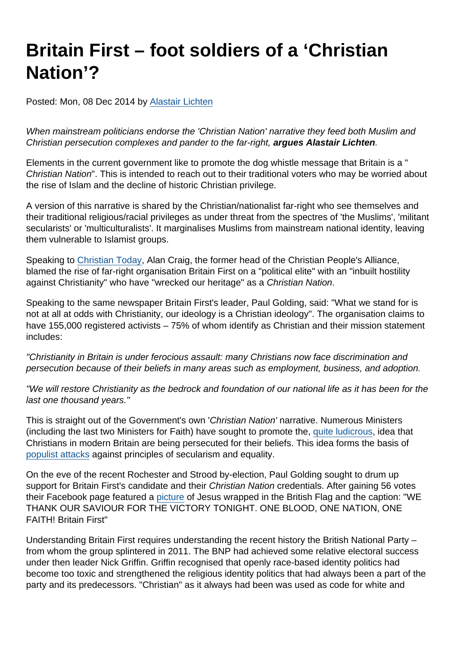# Britain First – foot soldiers of a 'Christian Nation'?

Posted: Mon, 08 Dec 2014 by [Alastair Lichten](https://www.secularism.org.uk/opinion/authors/847)

When mainstream politicians endorse the 'Christian Nation' narrative they feed both Muslim and Christian persecution complexes and pander to the far-right, argues Alastair Lichten .

Elements in the current government like to promote the dog whistle message that Britain is a " Christian Nation". This is intended to reach out to their traditional voters who may be worried about the rise of Islam and the decline of historic Christian privilege.

A version of this narrative is shared by the Christian/nationalist far-right who see themselves and their traditional religious/racial privileges as under threat from the spectres of 'the Muslims', 'militant secularists' or 'multiculturalists'. It marginalises Muslims from mainstream national identity, leaving them vulnerable to Islamist groups.

Speaking to [Christian Today,](http://www.christiantoday.com/article/how.far.right.party.britain.first.is.gaining.traction.through.christian.ideology/43380.htm) Alan Craig, the former head of the Christian People's Alliance, blamed the rise of far-right organisation Britain First on a "political elite" with an "inbuilt hostility against Christianity" who have "wrecked our heritage" as a Christian Nation.

Speaking to the same newspaper Britain First's leader, Paul Golding, said: "What we stand for is not at all at odds with Christianity, our ideology is a Christian ideology". The organisation claims to have 155,000 registered activists – 75% of whom identify as Christian and their mission statement includes:

"Christianity in Britain is under ferocious assault: many Christians now face discrimination and persecution because of their beliefs in many areas such as employment, business, and adoption.

"We will restore Christianity as the bedrock and foundation of our national life as it has been for the last one thousand years."

This is straight out of the Government's own 'Christian Nation' narrative. Numerous Ministers (including the last two Ministers for Faith) have sought to promote the, [quite ludicrous,](https://www.secularism.org.uk/blog/2014/08/grievous-nonsense) idea that Christians in modern Britain are being persecuted for their beliefs. This idea forms the basis of [populist attacks](https://www.secularism.org.uk/blog/2014/08/principles-of-secularism-and-equality-must-be-defended) against principles of secularism and equality.

On the eve of the recent Rochester and Strood by-election, Paul Golding sought to drum up support for Britain First's candidate and their Christian Nation credentials. After gaining 56 votes their Facebook page featured a [picture](https://www.facebook.com/britainfirstgb/photos/a.346633882148546.1073741826.300455573433044/654370344708230/?type=1) of Jesus wrapped in the British Flag and the caption: "WE THANK OUR SAVIOUR FOR THE VICTORY TONIGHT. ONE BLOOD, ONE NATION, ONE FAITH! Britain First"

Understanding Britain First requires understanding the recent history the British National Party – from whom the group splintered in 2011. The BNP had achieved some relative electoral success under then leader Nick Griffin. Griffin recognised that openly race-based identity politics had become too toxic and strengthened the religious identity politics that had always been a part of the party and its predecessors. "Christian" as it always had been was used as code for white and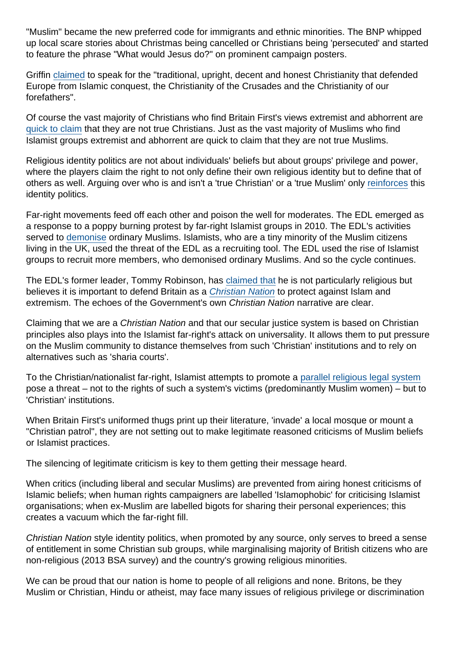"Muslim" became the new preferred code for immigrants and ethnic minorities. The BNP whipped up local scare stories about Christmas being cancelled or Christians being 'persecuted' and started to feature the phrase "What would Jesus do?" on prominent campaign posters.

Griffin [claimed](http://www.stormfront.org/forum/t696276/) to speak for the "traditional, upright, decent and honest Christianity that defended Europe from Islamic conquest, the Christianity of the Crusades and the Christianity of our forefathers".

Of course the vast majority of Christians who find Britain First's views extremist and abhorrent are [quick to claim](http://www.christiantoday.com/article/jesus.and.the.far.right.do.you.have.an.answer/43712.htm) that they are not true Christians. Just as the vast majority of Muslims who find Islamist groups extremist and abhorrent are quick to claim that they are not true Muslims.

Religious identity politics are not about individuals' beliefs but about groups' privilege and power, where the players claim the right to not only define their own religious identity but to define that of others as well. Arguing over who is and isn't a 'true Christian' or a 'true Muslim' only [reinforces](https://futiledemocracy.wordpress.com/2014/08/31/defining-islamism/) this identity politics.

Far-right movements feed off each other and poison the well for moderates. The EDL emerged as a response to a poppy burning protest by far-right Islamist groups in 2010. The EDL's activities served to [demonise](https://www.youtube.com/watch?v=aYd9qbRz2fc) ordinary Muslims. Islamists, who are a tiny minority of the Muslim citizens living in the UK, used the threat of the EDL as a recruiting tool. The EDL used the rise of Islamist groups to recruit more members, who demonised ordinary Muslims. And so the cycle continues.

The EDL's former leader, Tommy Robinson, has [claimed that](http://www.gspellchecker.com/2014/10/ep34-eiynah-tommy-robinson/) he is not particularly religious but believes it is important to defend Britain as a [Christian Nation](http://www.huffingtonpost.co.uk/jake-warren/patriotism-nationalism_b_6064758.html) to protect against Islam and extremism. The echoes of the Government's own Christian Nation narrative are clear.

Claiming that we are a Christian Nation and that our secular justice system is based on Christian principles also plays into the Islamist far-right's attack on universality. It allows them to put pressure on the Muslim community to distance themselves from such 'Christian' institutions and to rely on alternatives such as 'sharia courts'.

To the Christian/nationalist far-right, Islamist attempts to promote a [parallel religious legal system](https://www.secularism.org.uk/blog/2014/10/shariafication-by-stealth-in-the-uk) pose a threat – not to the rights of such a system's victims (predominantly Muslim women) – but to 'Christian' institutions.

When Britain First's uniformed thugs print up their literature, 'invade' a local mosque or mount a "Christian patrol", they are not setting out to make legitimate reasoned criticisms of Muslim beliefs or Islamist practices.

The silencing of legitimate criticism is key to them getting their message heard.

When critics (including liberal and secular Muslims) are prevented from airing honest criticisms of Islamic beliefs; when human rights campaigners are labelled 'Islamophobic' for criticising Islamist organisations; when ex-Muslim are labelled bigots for sharing their personal experiences; this creates a vacuum which the far-right fill.

Christian Nation style identity politics, when promoted by any source, only serves to breed a sense of entitlement in some Christian sub groups, while marginalising majority of British citizens who are non-religious (2013 BSA survey) and the country's growing religious minorities.

We can be proud that our nation is home to people of all religions and none. Britons, be they Muslim or Christian, Hindu or atheist, may face many issues of religious privilege or discrimination